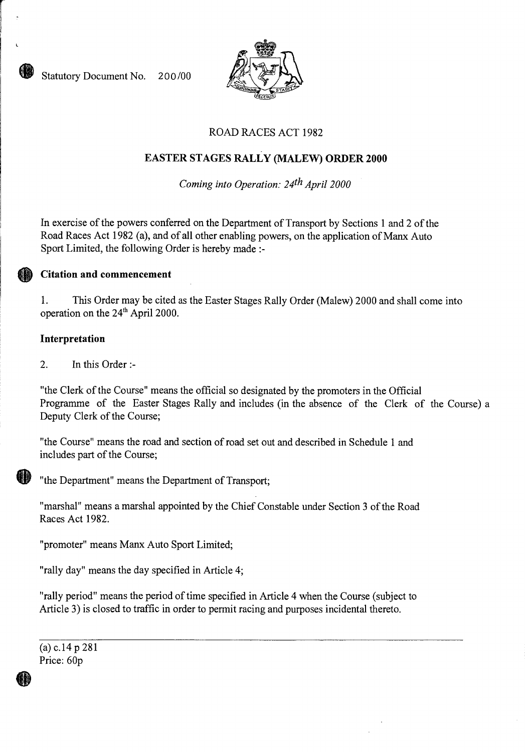Statutory Document No. 200/00



# ROAD RACES ACT 1982

# **EASTER STAGES RALLY (MALEW) ORDER 2000**

*Coming into Operation: 24th April 2000* 

In exercise of the powers conferred on the Department of Transport by Sections 1 and 2 of the Road Races Act 1982 (a), and of all other enabling powers, on the application of Manx Auto Sport Limited, the following Order is hereby made :-

## **Citation and commencement**

1. This Order may be cited as the Easter Stages Rally Order (Malew) 2000 and shall come into operation on the 24<sup>th</sup> April 2000.

### **Interpretation**

2. In this Order :-

"the Clerk of the Course" means the official so designated by the promoters in the Official Programme of the Easter Stages Rally and includes (in the absence of the Clerk of the Course) a Deputy Clerk of the Course;

"the Course" means the road and section of road set out and described in Schedule 1 and includes part of the Course;



"the Department" means the Department of Transport;

"marshal" means a marshal appointed by the Chief Constable under Section 3 of the Road Races Act 1982.

"promoter" means Manx Auto Sport Limited;

"rally day" means the day specified in Article 4;

"rally period" means the period of time specified in Article 4 when the Course (subject to Article 3) is closed to traffic in order to permit racing and purposes incidental thereto.

(a) c.14 p 281 Price: 60p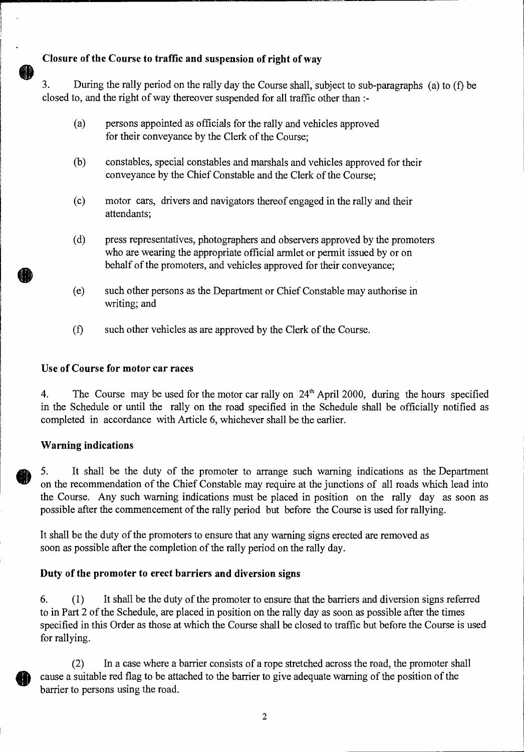# **Closure of the Course to traffic and suspension of right of way**

3. During the rally period on the rally day the Course shall, subject to sub-paragraphs (a) to (f) be closed to, and the right of way thereover suspended for all traffic other than :-

- (a) persons appointed as officials for the rally and vehicles approved for their conveyance by the Clerk of the Course;
- (b) constables, special constables and marshals and vehicles approved for their conveyance by the Chief Constable and the Clerk of the Course;
- (c) motor cars, drivers and navigators thereof engaged in the rally and their attendants;
- (d) press representatives, photographers and observers approved by the promoters who are wearing the appropriate official armlet or permit issued by or on behalf of the promoters, and vehicles approved for their conveyance;
- (e) such other persons as the Department or Chief Constable may authorise in writing; and
- (f) such other vehicles as are approved by the Clerk of the Course.

### **Use of Course for motor car races**

4. The Course may be used for the motor car rally on 24<sup>th</sup> April 2000, during the hours specified in the Schedule or until the rally on the road specified in the Schedule shall be officially notified as completed in accordance with Article 6, whichever shall be the earlier.

### **Warning indications**

5. It shall be the duty of the promoter to arrange such warning indications as the Department on the recommendation of the Chief Constable may require at the junctions of all roads which lead into the Course. Any such warning indications must be placed in position on the rally day as soon as possible after the commencement of the rally period but before the Course is used for rallying.

It shall be the duty of the promoters to ensure that any warning signs erected are removed as soon as possible after the completion of the rally period on the rally day.

# **Duty of the promoter to erect barriers and diversion signs**

6. ( <sup>1</sup> ) It shall be the duty of the promoter to ensure that the barriers and diversion signs referred to in Part 2 of the Schedule, are placed in position on the rally day as soon as possible after the times specified in this Order as those at which the Course shall be closed to traffic but before the Course is used for rallying.

(2) In a case where a barrier consists of a rope stretched across the road, the promoter shall cause a suitable red flag to be attached to the barrier to give adequate warning of the position of the barrier to persons using the road.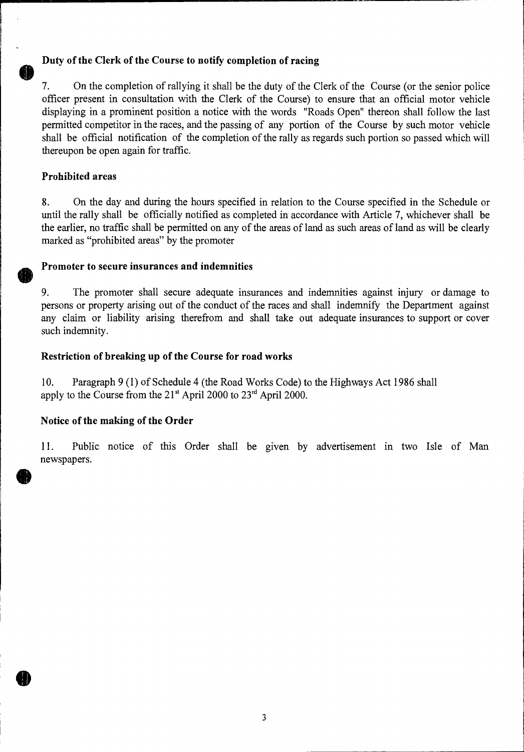## **Duty of the Clerk of the Course to notify completion of racing**

7. On the completion of rallying it shall be the duty of the Clerk of the Course (or the senior police officer present in consultation with the Clerk of the Course) to ensure that an official motor vehicle displaying in a prominent position a notice with the words "Roads Open" thereon shall follow the last permitted competitor in the races, and the passing of any portion of the Course by such motor vehicle shall be official notification of the completion of the rally as regards such portion so passed which will thereupon be open again for traffic.

### **Prohibited areas**

8. On the day and during the hours specified in relation to the Course specified in the Schedule or until the rally shall be officially notified as completed in accordance with Article 7, whichever shall be the earlier, no traffic shall be permitted on any of the areas of land as such areas of land as will be clearly marked as "prohibited areas" by the promoter

### **Promoter to secure insurances and indemnities**

9. The promoter shall secure adequate insurances and indemnities against injury or damage to persons or property arising out of the conduct of the races and shall indemnify the Department against any claim or liability arising therefrom and shall take out adequate insurances to support or cover such indemnity.

### **Restriction of breaking up of the Course for road works**

10. Paragraph 9 (1) of Schedule 4 (the Road Works Code) to the Highways Act 1986 shall apply to the Course from the  $21<sup>st</sup>$  April 2000 to  $23<sup>rd</sup>$  April 2000.

### **Notice of the making of the Order**

11. Public notice of this Order shall be given by advertisement in two Isle of Man newspapers.